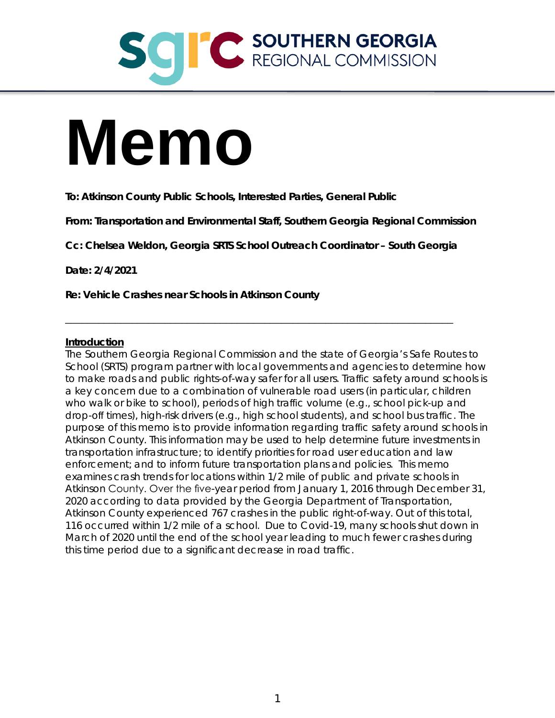## **CONTRERN GEORGIA**

# **Memo**

**To: Atkinson County Public Schools, Interested Parties, General Public**

**From: Transportation and Environmental Staff, Southern Georgia Regional Commission**

**Cc: Chelsea Weldon, Georgia SRTS School Outreach Coordinator – South Georgia**

\_\_\_\_\_\_\_\_\_\_\_\_\_\_\_\_\_\_\_\_\_\_\_\_\_\_\_\_\_\_\_\_\_\_\_\_\_\_\_\_\_\_\_\_\_\_\_\_\_\_\_\_\_\_\_\_\_\_\_\_\_\_\_\_\_\_\_\_\_\_

**Date: 2/4/2021**

**Re: Vehicle Crashes near Schools in Atkinson County**

### **Introduction**

The Southern Georgia Regional Commission and the state of Georgia's Safe Routes to School (SRTS) program partner with local governments and agencies to determine how to make roads and public rights-of-way safer for all users. Traffic safety around schools is a key concern due to a combination of vulnerable road users (in particular, children who walk or bike to school), periods of high traffic volume (e.g., school pick-up and drop-off times), high-risk drivers (e.g., high school students), and school bus traffic. The purpose of this memo is to provide information regarding traffic safety around schools in Atkinson County. This information may be used to help determine future investments in transportation infrastructure; to identify priorities for road user education and law enforcement; and to inform future transportation plans and policies. This memo examines crash trends for locations within 1/2 mile of public and private schools in Atkinson County. Over the five-year period from January 1, 2016 through December 31, 2020 according to data provided by the Georgia Department of Transportation, Atkinson County experienced 767 crashes in the public right-of-way. Out of this total, 116 occurred within 1/2 mile of a school. Due to Covid-19, many schools shut down in March of 2020 until the end of the school year leading to much fewer crashes during this time period due to a significant decrease in road traffic.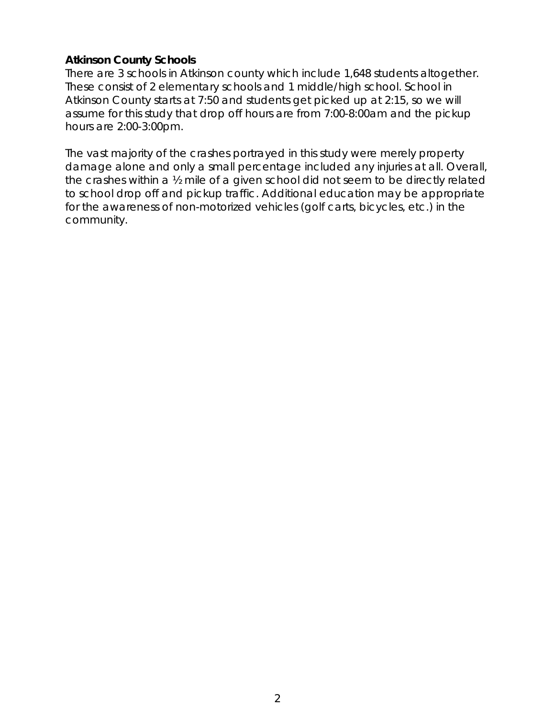### **Atkinson County Schools**

There are 3 schools in Atkinson county which include 1,648 students altogether. These consist of 2 elementary schools and 1 middle/high school. School in Atkinson County starts at 7:50 and students get picked up at 2:15, so we will assume for this study that drop off hours are from 7:00-8:00am and the pickup hours are 2:00-3:00pm.

The vast majority of the crashes portrayed in this study were merely property damage alone and only a small percentage included any injuries at all. Overall, the crashes within a ½ mile of a given school did not seem to be directly related to school drop off and pickup traffic. Additional education may be appropriate for the awareness of non-motorized vehicles (golf carts, bicycles, etc.) in the community.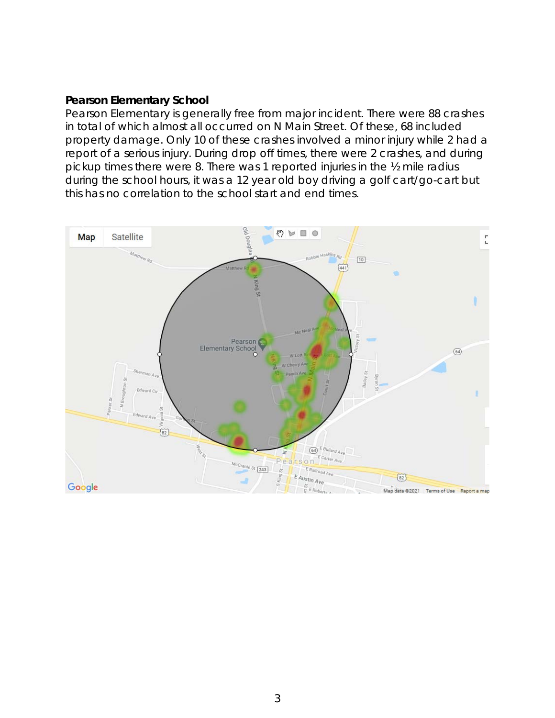## **Pearson Elementary School**

Pearson Elementary is generally free from major incident. There were 88 crashes in total of which almost all occurred on N Main Street. Of these, 68 included property damage. Only 10 of these crashes involved a minor injury while 2 had a report of a serious injury. During drop off times, there were 2 crashes, and during pickup times there were 8. There was 1 reported injuries in the ½ mile radius during the school hours, it was a 12 year old boy driving a golf cart/go-cart but this has no correlation to the school start and end times.

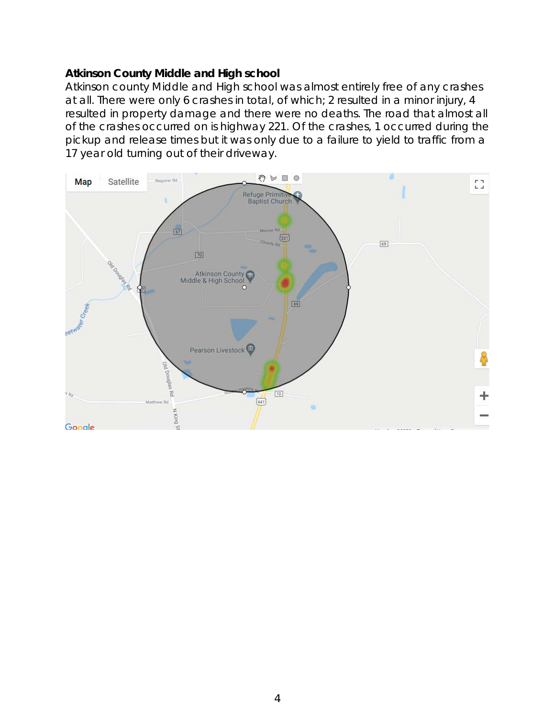## **Atkinson County Middle and High school**

Atkinson county Middle and High school was almost entirely free of any crashes at all. There were only 6 crashes in total, of which; 2 resulted in a minor injury, 4 resulted in property damage and there were no deaths. The road that almost all of the crashes occurred on is highway 221. Of the crashes, 1 occurred during the pickup and release times but it was only due to a failure to yield to traffic from a 17 year old turning out of their driveway.